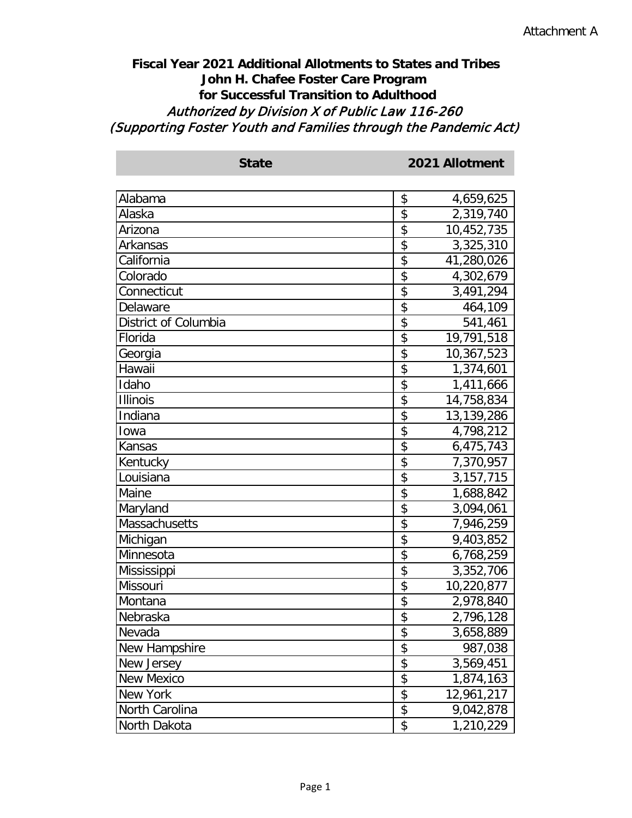## **Fiscal Year 2021 Additional Allotments to States and Tribes John H. Chafee Foster Care Program for Successful Transition to Adulthood** Authorized by Division X of Public Law 116-260 (Supporting Foster Youth and Families through the Pandemic Act)

| <b>State</b>         | 2021 Allotment    |
|----------------------|-------------------|
| Alabama              | \$<br>4,659,625   |
| Alaska               | \$<br>2,319,740   |
| Arizona              | \$<br>10,452,735  |
| Arkansas             | \$<br>3,325,310   |
| California           | \$<br>41,280,026  |
| Colorado             | \$<br>4,302,679   |
| Connecticut          | \$<br>3,491,294   |
| Delaware             | \$<br>464,109     |
| District of Columbia | \$<br>541,461     |
| Florida              | \$<br>19,791,518  |
| Georgia              | \$<br>10,367,523  |
| Hawaii               | \$<br>1,374,601   |
| Idaho                | \$<br>1,411,666   |
| <b>Illinois</b>      | \$<br>14,758,834  |
| Indiana              | \$<br>13,139,286  |
| Iowa                 | \$<br>4,798,212   |
| Kansas               | \$<br>6,475,743   |
| Kentucky             | \$<br>7,370,957   |
| Louisiana            | \$<br>3, 157, 715 |
| Maine                | \$<br>1,688,842   |
| Maryland             | \$<br>3,094,061   |
| Massachusetts        | \$<br>7,946,259   |
| Michigan             | \$<br>9,403,852   |
| Minnesota            | \$<br>6,768,259   |
| Mississippi          | \$<br>3,352,706   |
| Missouri             | \$<br>10,220,877  |
| Montana              | \$<br>2,978,840   |
| Nebraska             | \$<br>2,796,128   |
| Nevada               | \$<br>3,658,889   |
| New Hampshire        | \$<br>987,038     |
| New Jersey           | \$<br>3,569,451   |
| <b>New Mexico</b>    | \$<br>1,874,163   |
| New York             | \$<br>12,961,217  |
| North Carolina       | \$<br>9,042,878   |
| North Dakota         | \$<br>1,210,229   |